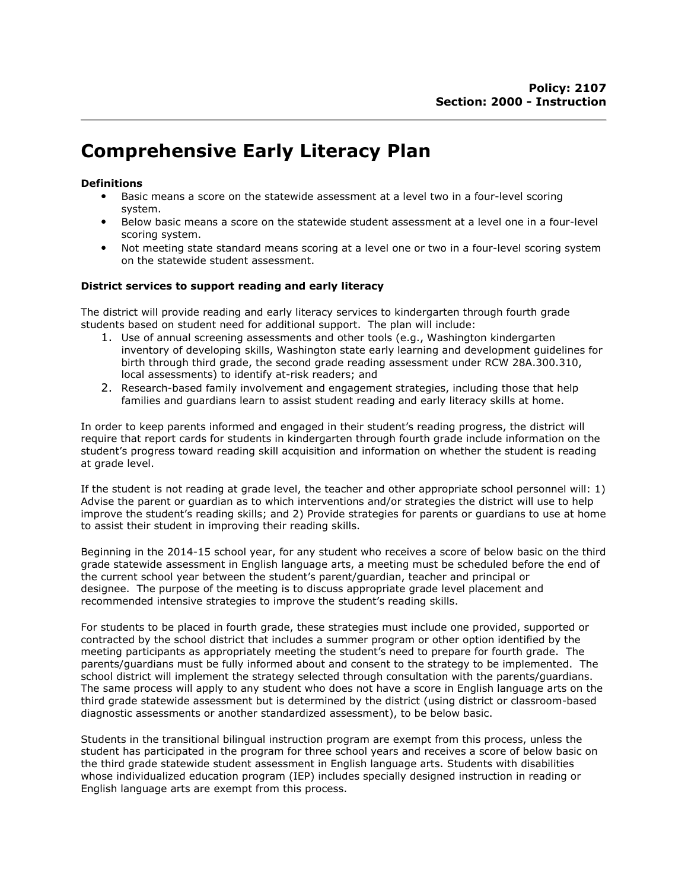## Comprehensive Early Literacy Plan

## **Definitions**

- Basic means a score on the statewide assessment at a level two in a four-level scoring system.
- Below basic means a score on the statewide student assessment at a level one in a four-level scoring system.
- Not meeting state standard means scoring at a level one or two in a four-level scoring system on the statewide student assessment.

## District services to support reading and early literacy

The district will provide reading and early literacy services to kindergarten through fourth grade students based on student need for additional support. The plan will include:

- 1. Use of annual screening assessments and other tools (e.g., Washington kindergarten inventory of developing skills, Washington state early learning and development guidelines for birth through third grade, the second grade reading assessment under RCW 28A.300.310, local assessments) to identify at-risk readers; and
- 2. Research-based family involvement and engagement strategies, including those that help families and guardians learn to assist student reading and early literacy skills at home.

In order to keep parents informed and engaged in their student's reading progress, the district will require that report cards for students in kindergarten through fourth grade include information on the student's progress toward reading skill acquisition and information on whether the student is reading at grade level.

If the student is not reading at grade level, the teacher and other appropriate school personnel will: 1) Advise the parent or guardian as to which interventions and/or strategies the district will use to help improve the student's reading skills; and 2) Provide strategies for parents or guardians to use at home to assist their student in improving their reading skills.

Beginning in the 2014-15 school year, for any student who receives a score of below basic on the third grade statewide assessment in English language arts, a meeting must be scheduled before the end of the current school year between the student's parent/guardian, teacher and principal or designee. The purpose of the meeting is to discuss appropriate grade level placement and recommended intensive strategies to improve the student's reading skills.

For students to be placed in fourth grade, these strategies must include one provided, supported or contracted by the school district that includes a summer program or other option identified by the meeting participants as appropriately meeting the student's need to prepare for fourth grade. The parents/guardians must be fully informed about and consent to the strategy to be implemented. The school district will implement the strategy selected through consultation with the parents/guardians. The same process will apply to any student who does not have a score in English language arts on the third grade statewide assessment but is determined by the district (using district or classroom-based diagnostic assessments or another standardized assessment), to be below basic.

Students in the transitional bilingual instruction program are exempt from this process, unless the student has participated in the program for three school years and receives a score of below basic on the third grade statewide student assessment in English language arts. Students with disabilities whose individualized education program (IEP) includes specially designed instruction in reading or English language arts are exempt from this process.